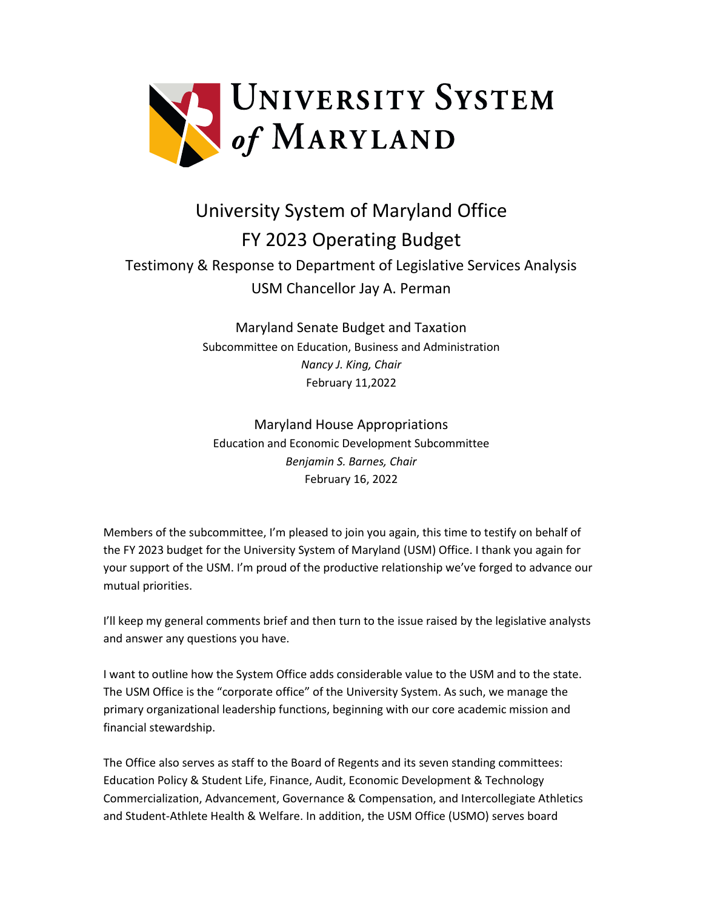

# University System of Maryland Office FY 2023 Operating Budget

## Testimony & Response to Department of Legislative Services Analysis USM Chancellor Jay A. Perman

Maryland Senate Budget and Taxation Subcommittee on Education, Business and Administration *Nancy J. King, Chair*  February 11,2022

Maryland House Appropriations Education and Economic Development Subcommittee *Benjamin S. Barnes, Chair*  February 16, 2022

Members of the subcommittee, I'm pleased to join you again, this time to testify on behalf of the FY 2023 budget for the University System of Maryland (USM) Office. I thank you again for your support of the USM. I'm proud of the productive relationship we've forged to advance our mutual priorities.

I'll keep my general comments brief and then turn to the issue raised by the legislative analysts and answer any questions you have.

I want to outline how the System Office adds considerable value to the USM and to the state. The USM Office is the "corporate office" of the University System. As such, we manage the primary organizational leadership functions, beginning with our core academic mission and financial stewardship.

The Office also serves as staff to the Board of Regents and its seven standing committees: Education Policy & Student Life, Finance, Audit, Economic Development & Technology Commercialization, Advancement, Governance & Compensation, and Intercollegiate Athletics and Student-Athlete Health & Welfare. In addition, the USM Office (USMO) serves board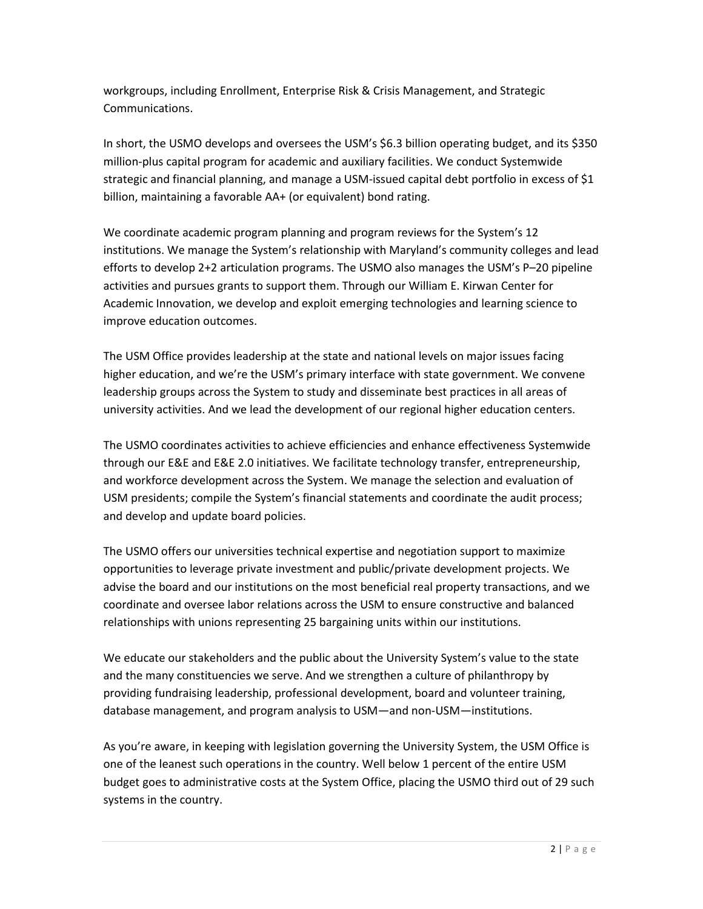workgroups, including Enrollment, Enterprise Risk & Crisis Management, and Strategic Communications.

In short, the USMO develops and oversees the USM's \$6.3 billion operating budget, and its \$350 million-plus capital program for academic and auxiliary facilities. We conduct Systemwide strategic and financial planning, and manage a USM-issued capital debt portfolio in excess of \$1 billion, maintaining a favorable AA+ (or equivalent) bond rating.

We coordinate academic program planning and program reviews for the System's 12 institutions. We manage the System's relationship with Maryland's community colleges and lead efforts to develop 2+2 articulation programs. The USMO also manages the USM's P–20 pipeline activities and pursues grants to support them. Through our William E. Kirwan Center for Academic Innovation, we develop and exploit emerging technologies and learning science to improve education outcomes.

The USM Office provides leadership at the state and national levels on major issues facing higher education, and we're the USM's primary interface with state government. We convene leadership groups across the System to study and disseminate best practices in all areas of university activities. And we lead the development of our regional higher education centers.

The USMO coordinates activities to achieve efficiencies and enhance effectiveness Systemwide through our E&E and E&E 2.0 initiatives. We facilitate technology transfer, entrepreneurship, and workforce development across the System. We manage the selection and evaluation of USM presidents; compile the System's financial statements and coordinate the audit process; and develop and update board policies.

The USMO offers our universities technical expertise and negotiation support to maximize opportunities to leverage private investment and public/private development projects. We advise the board and our institutions on the most beneficial real property transactions, and we coordinate and oversee labor relations across the USM to ensure constructive and balanced relationships with unions representing 25 bargaining units within our institutions.

We educate our stakeholders and the public about the University System's value to the state and the many constituencies we serve. And we strengthen a culture of philanthropy by providing fundraising leadership, professional development, board and volunteer training, database management, and program analysis to USM—and non-USM—institutions.

As you're aware, in keeping with legislation governing the University System, the USM Office is one of the leanest such operations in the country. Well below 1 percent of the entire USM budget goes to administrative costs at the System Office, placing the USMO third out of 29 such systems in the country.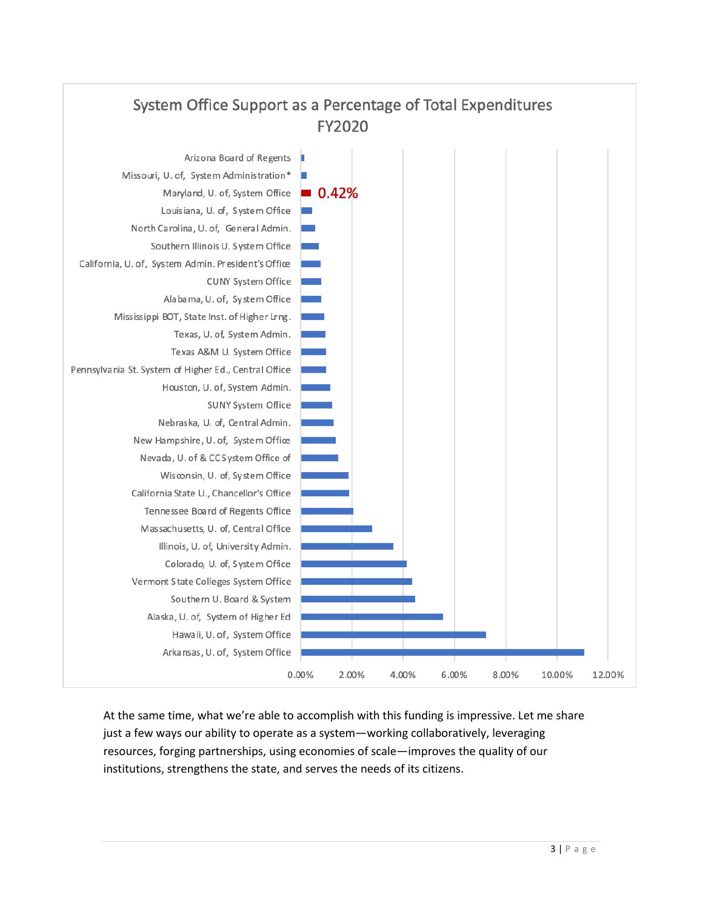

At the same time, what we're able to accomplish with this funding is impressive. Let me share just a few ways our ability to operate as a system—working collaboratively, leveraging resources, forging partnerships, using economies of scale—improves the quality of our institutions, strengthens the state, and serves the needs of its citizens.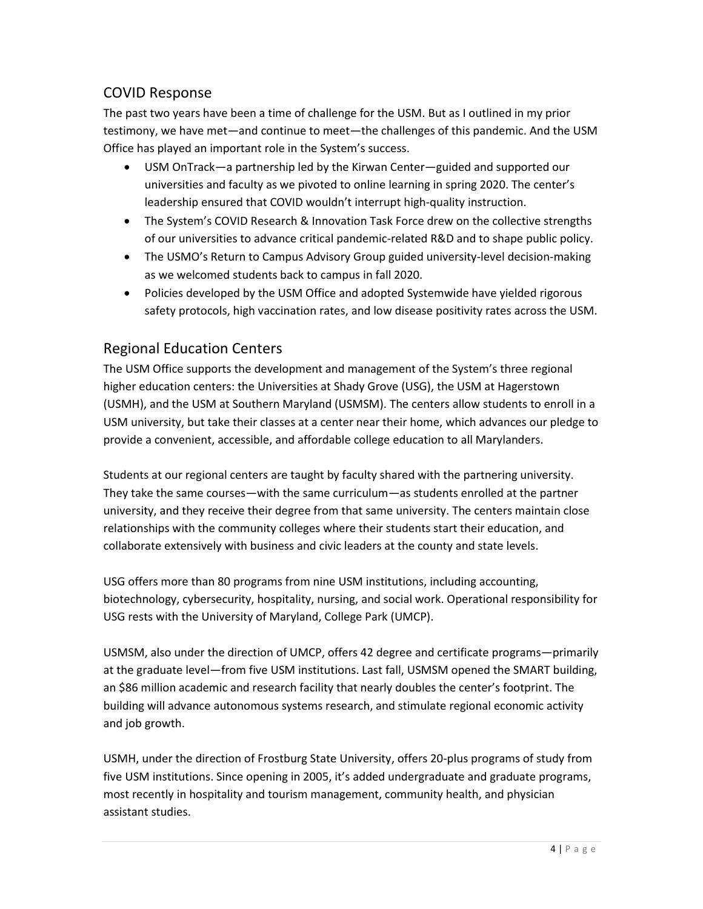#### COVID Response

The past two years have been a time of challenge for the USM. But as I outlined in my prior testimony, we have met—and continue to meet—the challenges of this pandemic. And the USM Office has played an important role in the System's success.

- USM OnTrack—a partnership led by the Kirwan Center—guided and supported our universities and faculty as we pivoted to online learning in spring 2020. The center's leadership ensured that COVID wouldn't interrupt high-quality instruction.
- The System's COVID Research & Innovation Task Force drew on the collective strengths of our universities to advance critical pandemic-related R&D and to shape public policy.
- The USMO's Return to Campus Advisory Group guided university-level decision-making as we welcomed students back to campus in fall 2020.
- Policies developed by the USM Office and adopted Systemwide have yielded rigorous safety protocols, high vaccination rates, and low disease positivity rates across the USM.

### Regional Education Centers

The USM Office supports the development and management of the System's three regional higher education centers: the Universities at Shady Grove (USG), the USM at Hagerstown (USMH), and the USM at Southern Maryland (USMSM). The centers allow students to enroll in a USM university, but take their classes at a center near their home, which advances our pledge to provide a convenient, accessible, and affordable college education to all Marylanders.

Students at our regional centers are taught by faculty shared with the partnering university. They take the same courses—with the same curriculum—as students enrolled at the partner university, and they receive their degree from that same university. The centers maintain close relationships with the community colleges where their students start their education, and collaborate extensively with business and civic leaders at the county and state levels.

USG offers more than 80 programs from nine USM institutions, including accounting, biotechnology, cybersecurity, hospitality, nursing, and social work. Operational responsibility for USG rests with the University of Maryland, College Park (UMCP).

USMSM, also under the direction of UMCP, offers 42 degree and certificate programs—primarily at the graduate level—from five USM institutions. Last fall, USMSM opened the SMART building, an \$86 million academic and research facility that nearly doubles the center's footprint. The building will advance autonomous systems research, and stimulate regional economic activity and job growth.

USMH, under the direction of Frostburg State University, offers 20-plus programs of study from five USM institutions. Since opening in 2005, it's added undergraduate and graduate programs, most recently in hospitality and tourism management, community health, and physician assistant studies.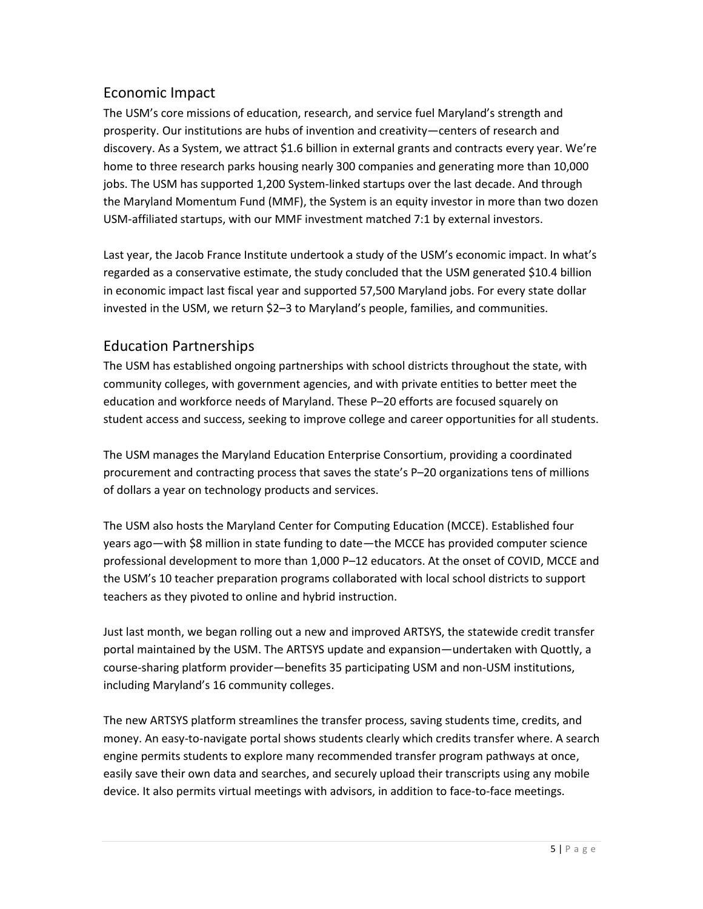#### Economic Impact

The USM's core missions of education, research, and service fuel Maryland's strength and prosperity. Our institutions are hubs of invention and creativity—centers of research and discovery. As a System, we attract \$1.6 billion in external grants and contracts every year. We're home to three research parks housing nearly 300 companies and generating more than 10,000 jobs. The USM has supported 1,200 System-linked startups over the last decade. And through the Maryland Momentum Fund (MMF), the System is an equity investor in more than two dozen USM-affiliated startups, with our MMF investment matched 7:1 by external investors.

Last year, the Jacob France Institute undertook a study of the USM's economic impact. In what's regarded as a conservative estimate, the study concluded that the USM generated \$10.4 billion in economic impact last fiscal year and supported 57,500 Maryland jobs. For every state dollar invested in the USM, we return \$2–3 to Maryland's people, families, and communities.

#### Education Partnerships

The USM has established ongoing partnerships with school districts throughout the state, with community colleges, with government agencies, and with private entities to better meet the education and workforce needs of Maryland. These P–20 efforts are focused squarely on student access and success, seeking to improve college and career opportunities for all students.

The USM manages the Maryland Education Enterprise Consortium, providing a coordinated procurement and contracting process that saves the state's P–20 organizations tens of millions of dollars a year on technology products and services.

The USM also hosts the Maryland Center for Computing Education (MCCE). Established four years ago—with \$8 million in state funding to date—the MCCE has provided computer science professional development to more than 1,000 P–12 educators. At the onset of COVID, MCCE and the USM's 10 teacher preparation programs collaborated with local school districts to support teachers as they pivoted to online and hybrid instruction.

Just last month, we began rolling out a new and improved ARTSYS, the statewide credit transfer portal maintained by the USM. The ARTSYS update and expansion—undertaken with Quottly, a course-sharing platform provider—benefits 35 participating USM and non-USM institutions, including Maryland's 16 community colleges.

The new ARTSYS platform streamlines the transfer process, saving students time, credits, and money. An easy-to-navigate portal shows students clearly which credits transfer where. A search engine permits students to explore many recommended transfer program pathways at once, easily save their own data and searches, and securely upload their transcripts using any mobile device. It also permits virtual meetings with advisors, in addition to face-to-face meetings.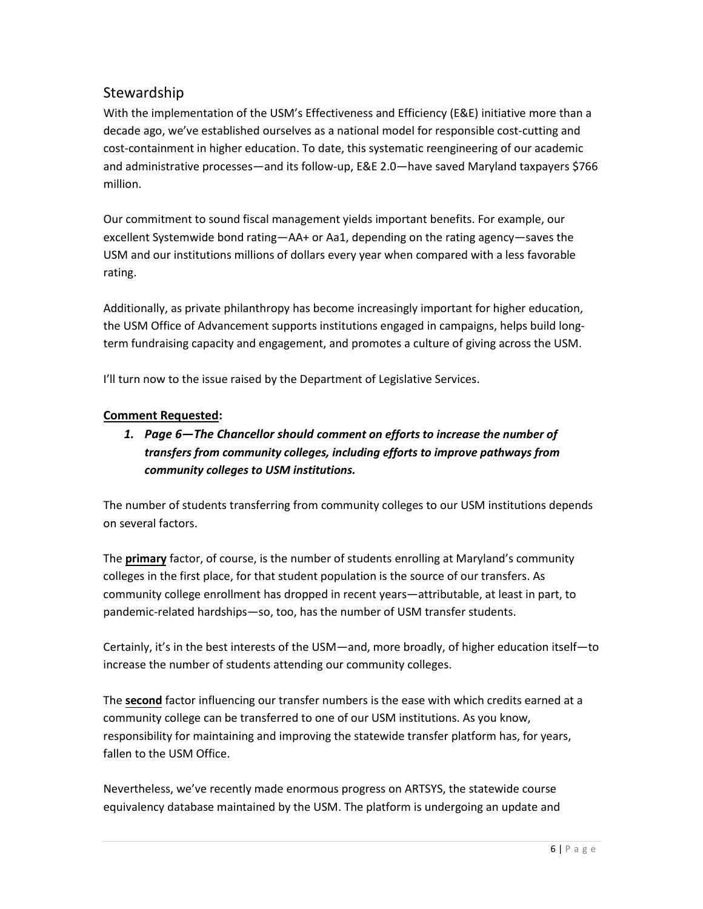#### Stewardship

With the implementation of the USM's Effectiveness and Efficiency (E&E) initiative more than a decade ago, we've established ourselves as a national model for responsible cost-cutting and cost-containment in higher education. To date, this systematic reengineering of our academic and administrative processes—and its follow-up, E&E 2.0—have saved Maryland taxpayers \$766 million.

Our commitment to sound fiscal management yields important benefits. For example, our excellent Systemwide bond rating—AA+ or Aa1, depending on the rating agency—saves the USM and our institutions millions of dollars every year when compared with a less favorable rating.

Additionally, as private philanthropy has become increasingly important for higher education, the USM Office of Advancement supports institutions engaged in campaigns, helps build longterm fundraising capacity and engagement, and promotes a culture of giving across the USM.

I'll turn now to the issue raised by the Department of Legislative Services.

#### **Comment Requested:**

#### *1. Page 6—The Chancellor should comment on efforts to increase the number of transfers from community colleges, including efforts to improve pathways from community colleges to USM institutions.*

The number of students transferring from community colleges to our USM institutions depends on several factors.

The **primary** factor, of course, is the number of students enrolling at Maryland's community colleges in the first place, for that student population is the source of our transfers. As community college enrollment has dropped in recent years—attributable, at least in part, to pandemic-related hardships—so, too, has the number of USM transfer students.

Certainly, it's in the best interests of the USM—and, more broadly, of higher education itself—to increase the number of students attending our community colleges.

The **second** factor influencing our transfer numbers is the ease with which credits earned at a community college can be transferred to one of our USM institutions. As you know, responsibility for maintaining and improving the statewide transfer platform has, for years, fallen to the USM Office.

Nevertheless, we've recently made enormous progress on ARTSYS, the statewide course equivalency database maintained by the USM. The platform is undergoing an update and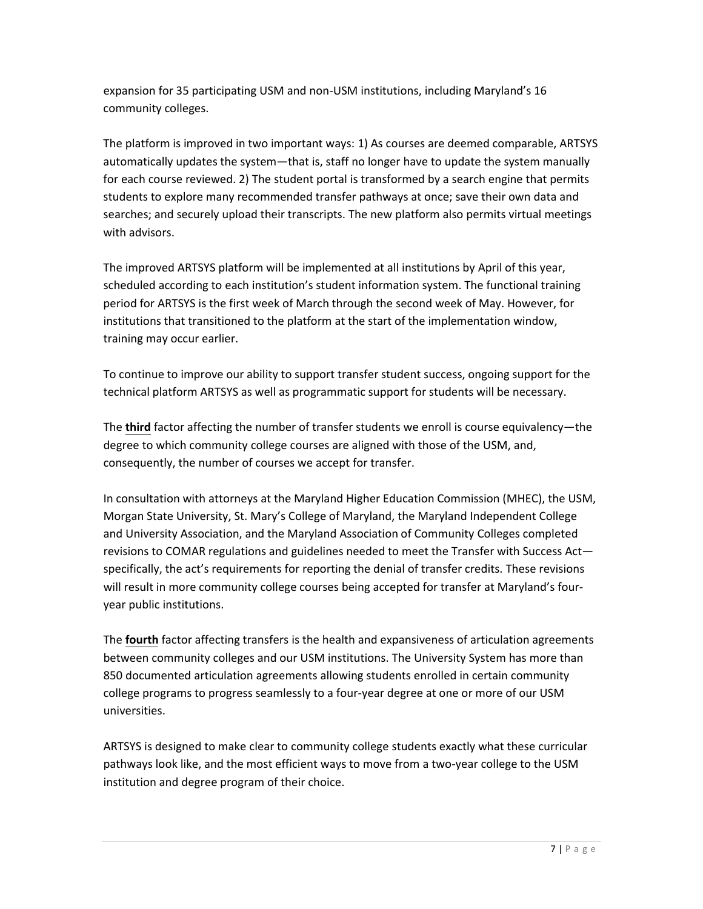expansion for 35 participating USM and non-USM institutions, including Maryland's 16 community colleges.

The platform is improved in two important ways: 1) As courses are deemed comparable, ARTSYS automatically updates the system—that is, staff no longer have to update the system manually for each course reviewed. 2) The student portal is transformed by a search engine that permits students to explore many recommended transfer pathways at once; save their own data and searches; and securely upload their transcripts. The new platform also permits virtual meetings with advisors.

The improved ARTSYS platform will be implemented at all institutions by April of this year, scheduled according to each institution's student information system. The functional training period for ARTSYS is the first week of March through the second week of May. However, for institutions that transitioned to the platform at the start of the implementation window, training may occur earlier.

To continue to improve our ability to support transfer student success, ongoing support for the technical platform ARTSYS as well as programmatic support for students will be necessary.

The **third** factor affecting the number of transfer students we enroll is course equivalency—the degree to which community college courses are aligned with those of the USM, and, consequently, the number of courses we accept for transfer.

In consultation with attorneys at the Maryland Higher Education Commission (MHEC), the USM, Morgan State University, St. Mary's College of Maryland, the Maryland Independent College and University Association, and the Maryland Association of Community Colleges completed revisions to COMAR regulations and guidelines needed to meet the Transfer with Success Act specifically, the act's requirements for reporting the denial of transfer credits. These revisions will result in more community college courses being accepted for transfer at Maryland's fouryear public institutions.

The **fourth** factor affecting transfers is the health and expansiveness of articulation agreements between community colleges and our USM institutions. The University System has more than 850 documented articulation agreements allowing students enrolled in certain community college programs to progress seamlessly to a four-year degree at one or more of our USM universities.

ARTSYS is designed to make clear to community college students exactly what these curricular pathways look like, and the most efficient ways to move from a two-year college to the USM institution and degree program of their choice.